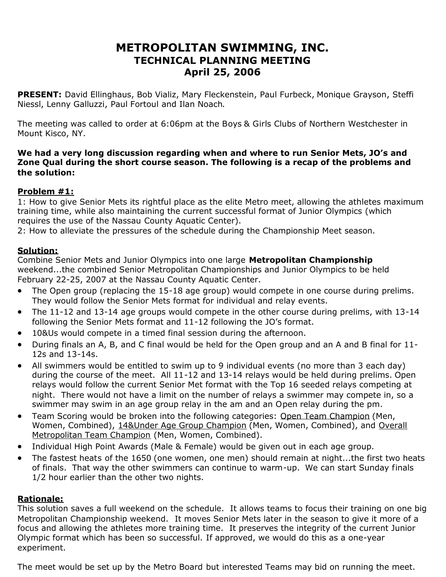# **METROPOLITAN SWIMMING, INC. TECHNICAL PLANNING MEETING April 25, 2006**

**PRESENT:** David Ellinghaus, Bob Vializ, Mary Fleckenstein, Paul Furbeck, Monique Grayson, Steffi Niessl, Lenny Galluzzi, Paul Fortoul and Ilan Noach.

The meeting was called to order at 6:06pm at the Boys & Girls Clubs of Northern Westchester in Mount Kisco, NY.

## **We had a very long discussion regarding when and where to run Senior Mets, JO's and Zone Qual during the short course season. The following is a recap of the problems and the solution:**

## **Problem #1:**

1: How to give Senior Mets its rightful place as the elite Metro meet, allowing the athletes maximum training time, while also maintaining the current successful format of Junior Olympics (which requires the use of the Nassau County Aquatic Center).

2: How to alleviate the pressures of the schedule during the Championship Meet season.

## **Solution:**

Combine Senior Mets and Junior Olympics into one large **Metropolitan Championship** weekend...the combined Senior Metropolitan Championships and Junior Olympics to be held February 22-25, 2007 at the Nassau County Aquatic Center.

- The Open group (replacing the 15-18 age group) would compete in one course during prelims. They would follow the Senior Mets format for individual and relay events.
- The 11-12 and 13-14 age groups would compete in the other course during prelims, with 13-14 following the Senior Mets format and 11-12 following the JO's format.
- 10&Us would compete in a timed final session during the afternoon.
- During finals an A, B, and C final would be held for the Open group and an A and B final for 11- 12s and 13-14s.
- All swimmers would be entitled to swim up to 9 individual events (no more than 3 each day) during the course of the meet. All 11-12 and 13-14 relays would be held during prelims. Open relays would follow the current Senior Met format with the Top 16 seeded relays competing at night. There would not have a limit on the number of relays a swimmer may compete in, so a swimmer may swim in an age group relay in the am and an Open relay during the pm.
- Team Scoring would be broken into the following categories: Open Team Champion (Men, Women, Combined), 14&Under Age Group Champion (Men, Women, Combined), and Overall Metropolitan Team Champion (Men, Women, Combined).
- Individual High Point Awards (Male & Female) would be given out in each age group.
- The fastest heats of the 1650 (one women, one men) should remain at night...the first two heats of finals. That way the other swimmers can continue to warm-up. We can start Sunday finals 1/2 hour earlier than the other two nights.

## **Rationale:**

This solution saves a full weekend on the schedule. It allows teams to focus their training on one big Metropolitan Championship weekend. It moves Senior Mets later in the season to give it more of a focus and allowing the athletes more training time. It preserves the integrity of the current Junior Olympic format which has been so successful. If approved, we would do this as a one-year experiment.

The meet would be set up by the Metro Board but interested Teams may bid on running the meet.